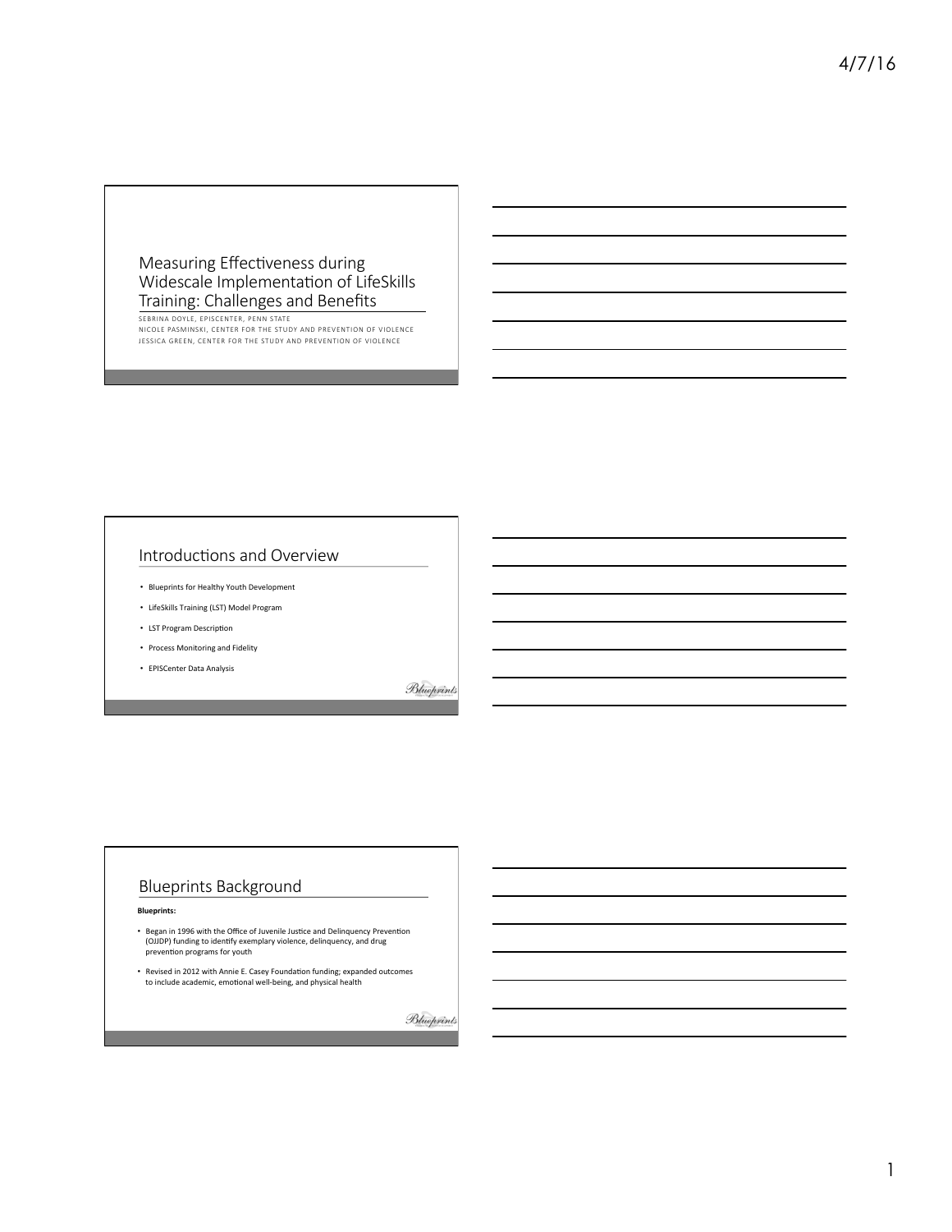## Measuring Effectiveness during Widescale Implementation of LifeSkills Training: Challenges and Benefits

SEBRINA DOYLE, EPISCENTER, PENN STATE NICOLE PASMINSKI, CENTER FOR THE STUDY AND PREVENTION OF VIOLENCE

JESSICA GREEN, CENTER FOR THE STUDY AND PREVENTION OF VIOLENCE

# Introductions and Overview

- Blueprints for Healthy Youth Development
- LifeSkills Training (LST) Model Program
- LST Program Description
- Process Monitoring and Fidelity
- EPISCenter Data Analysis

Blueprints

# Blueprints Background

- Began in 1996 with the Office of Juvenile Justice and Delinquency Prevention<br>(OJJDP) funding to identify exemplary violence, delinquency, and drug prevention programs for youth
- Revised in 2012 with Annie E. Casey Foundation funding; expanded outcomes to include academic, emotional well-being, and physical health

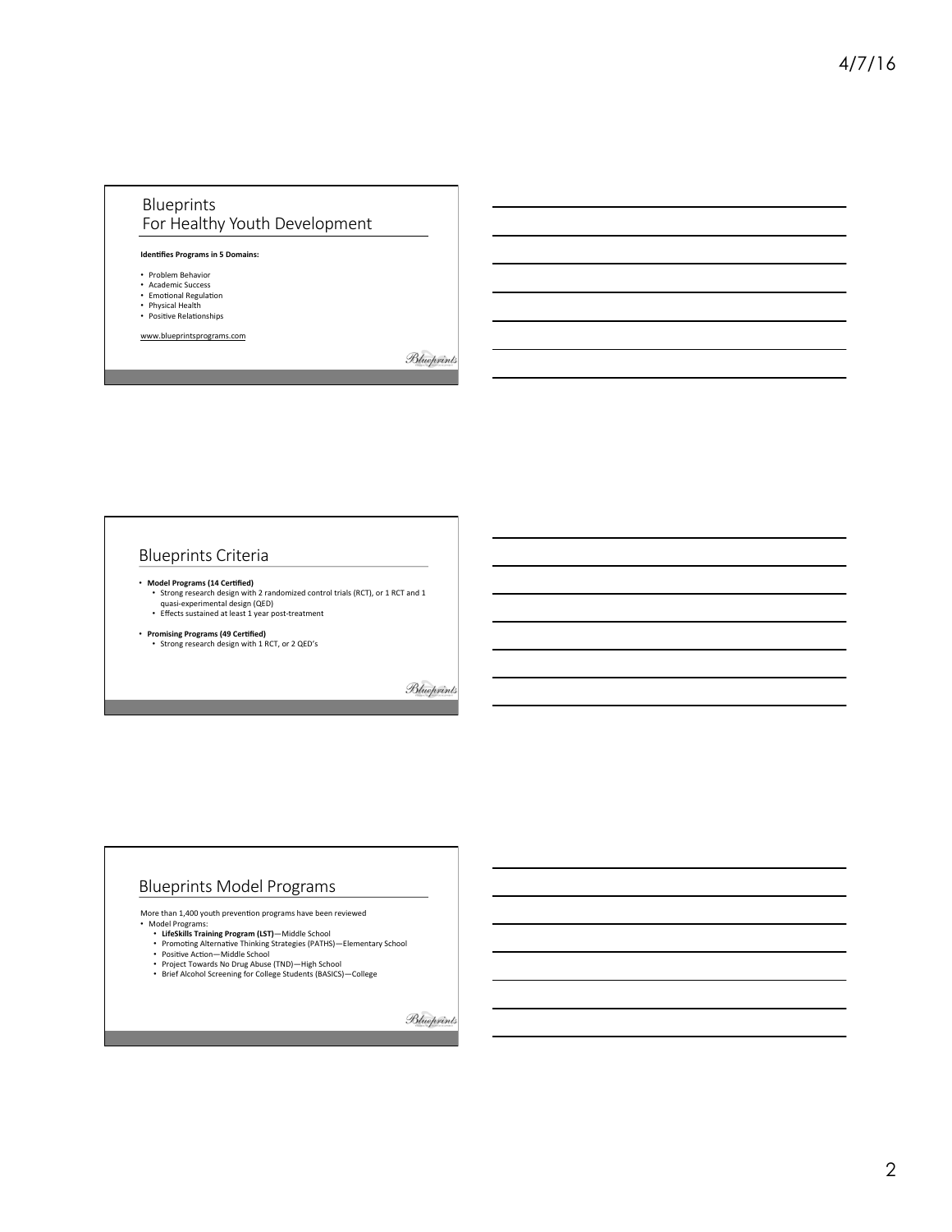## Blueprints For Healthy Youth Development

#### **Identifies Programs in 5 Domains:**

- Problem Behavior
- Academic Success • Emotional Regulation
- 
- Physical Health<br>• Positive Relationships

www.blueprintsprograms.com

Blueprints

## Blueprints Criteria

- **Model Programs (14 Cer/fied)** 
	- Strong research design with 2 randomized control trials (RCT), or 1 RCT and 1<br>• quasi-experimental design (QED)<br>• Effects sustained at least 1 year post-treatment
- **Promising Programs (49 Certified)**<br>• Strong research design with 1 RCT, or 2 QED's

Blueprints

## Blueprints Model Programs

More than 1.400 youth prevention programs have been reviewed<br>
• Model Programs:<br>
• LifeSkills Training Program (LST)—Middle School<br>
• Promoting Alternative Thinking Strategies (PATHS)—Elementary School<br>
• Positive Action—M

- 
- 
- 
- 
- Project Towards No Drug Abuse (TND)—High School<br>• Brief Alcohol Screening for College Students (BASICS)—College

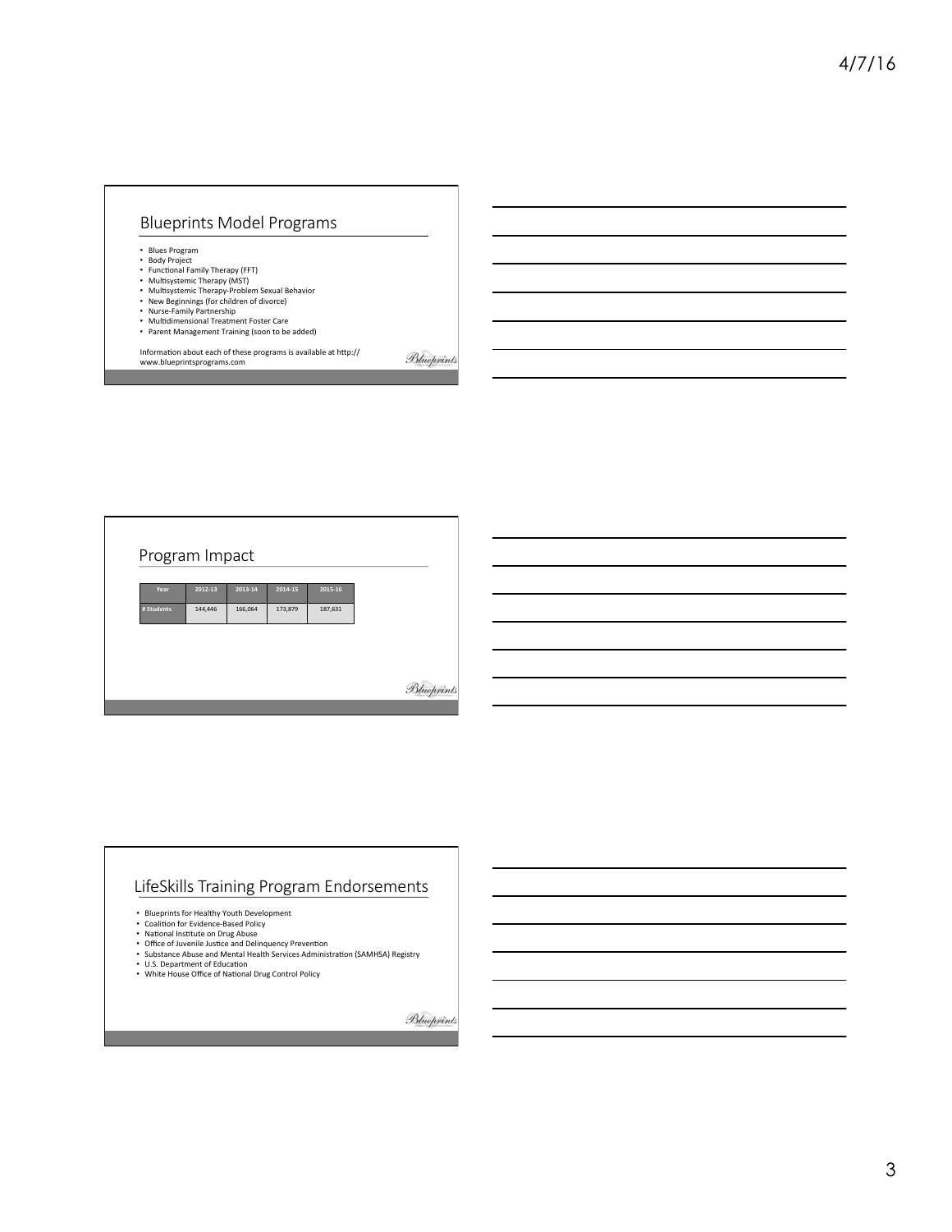# Blueprints Model Programs

- 
- 
- 
- Blues Program<br>• Body Project<br>• Functional Family Therapy (KFT)<br>• Multisystemic Therapy (MST)<br>• Multisystemic Therapy-Problem Sexual Behavior<br>• New Beginnings (for children of divorce)<br>• Multidimensional Treatment Foster
- 
- 
- Parent Management Training (soon to be added)

Information about each of these programs is available at http://<br>www.blueprintsprograms.com

Program Impact **Year 2012-13 2013-14 2014-15 2015-16**  144,446 166,064 173,879 187,631 Blueprints

# LifeSkills Training Program Endorsements

- 
- 
- 
- Blueprints for Healthy Youth Development<br>• Coalition for Evidence-Based Policy<br>• National Institute on Drug Abuse<br>• Office of Juvenile Justice and Delinquency Prevention<br>• Substance Abuse and Mental Health Services Admin
- 
- U.S. Department of Education<br>• White House Office of National Drug Control Policy

Blueprints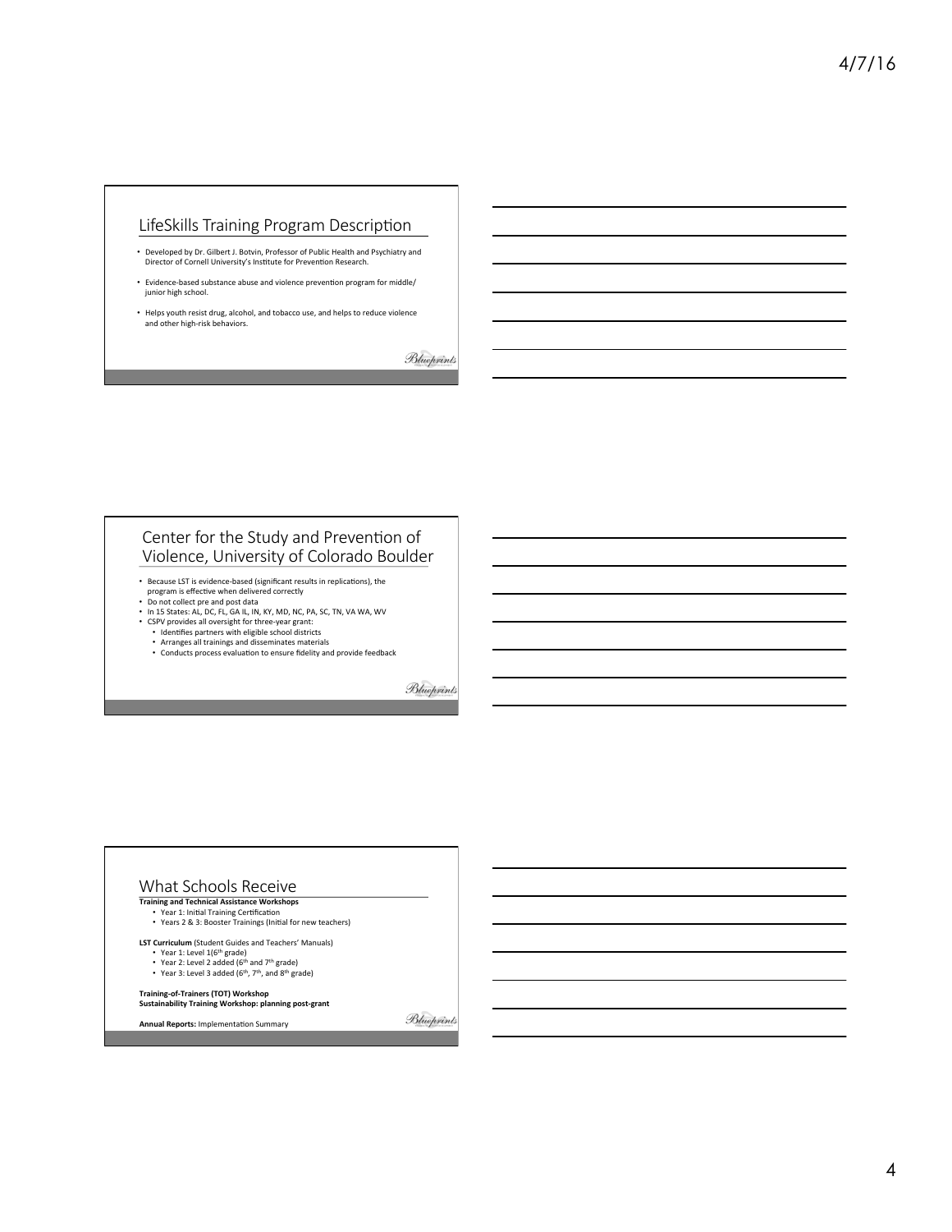# LifeSkills Training Program Description

- Developed by Dr. Gilbert J. Botvin, Professor of Public Health and Psychiatry and<br>Director of Cornell University's Institute for Prevention Research.
- Evidence-based substance abuse and violence prevention program for middle/<br>junior high school.
- Helps youth resist drug, alcohol, and tobacco use, and helps to reduce violence and other high-risk behaviors.

Blueprints

#### Center for the Study and Prevention of Violence, University of Colorado Boulder

- Because LST is evidence-based (significant results in replications), the program is effective when delivered correctly
- Do not collect pre and post data
- In 15 States: AL, DC, FL, GA IL, IN, KY, MD, NC, PA, SC, TN, VA WA, WV
- CSPV provides all oversight for three-year grant:<br>• Identifies partners with eligible school districts
- 
- Arranges all trainings and disseminates materials<br>• Conducts process evaluation to ensure fidelity and provide feedback

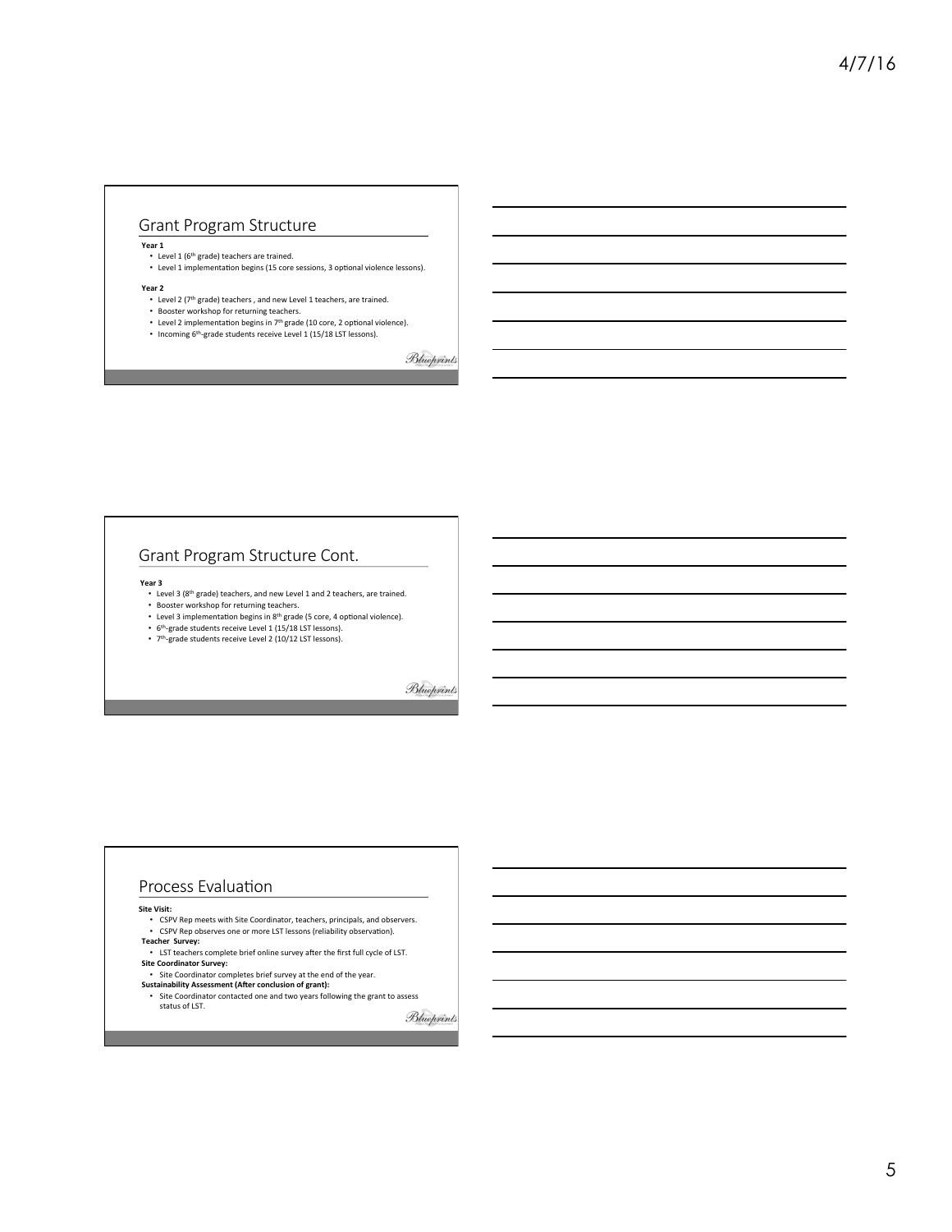## Grant Program Structure

**Year 1** 

- 
- Level 1 (6<sup>th</sup> grade) teachers are trained.<br>• Level 1 implementation begins (15 core sessions, 3 optional violence lessons).
- Year 2
	- Level 2 (7<sup>th</sup> grade) teachers , and new Level 1 teachers, are trained.<br>• Booster workshop for returning teachers.
	-
- Level 2 implementation begins in  $7<sup>th</sup>$  grade (10 core, 2 optional violence). • Incoming 6<sup>th</sup>-grade students receive Level 1 (15/18 LST lessons).
	-

Blueprints

## Grant Program Structure Cont.

**Year 3** 

- Level 3 (8<sup>th</sup> grade) teachers, and new Level 1 and 2 teachers, are trained.<br>• Booster workshop for returning teachers.
- Level 3 implementation begins in 8<sup>th</sup> grade (5 core, 4 optional violence).
- 
- 6<sup>th</sup>-grade students receive Level 1 (15/18 LST lessons).<br>• 7<sup>th</sup>-grade students receive Level 2 (10/12 LST lessons).

Blueprints

#### Process Evaluation

#### **Site Visit:**

- CSPV Rep meets with Site Coordinator, teachers, principals, and observers. • CSPV Rep observes one or more LST lessons (reliability observation).
- 

status of LST.

- **Teacher Survey:**<br>• LST teachers complete brief online survey after the first full cycle of LST. **Site Coordinator Survey:**
- Site Coordinator completes brief survey at the end of the year.
- **Sustainability Assessment (After conclusion of grant):**<br>• Site Coordinator contacted one and two years following the grant to assess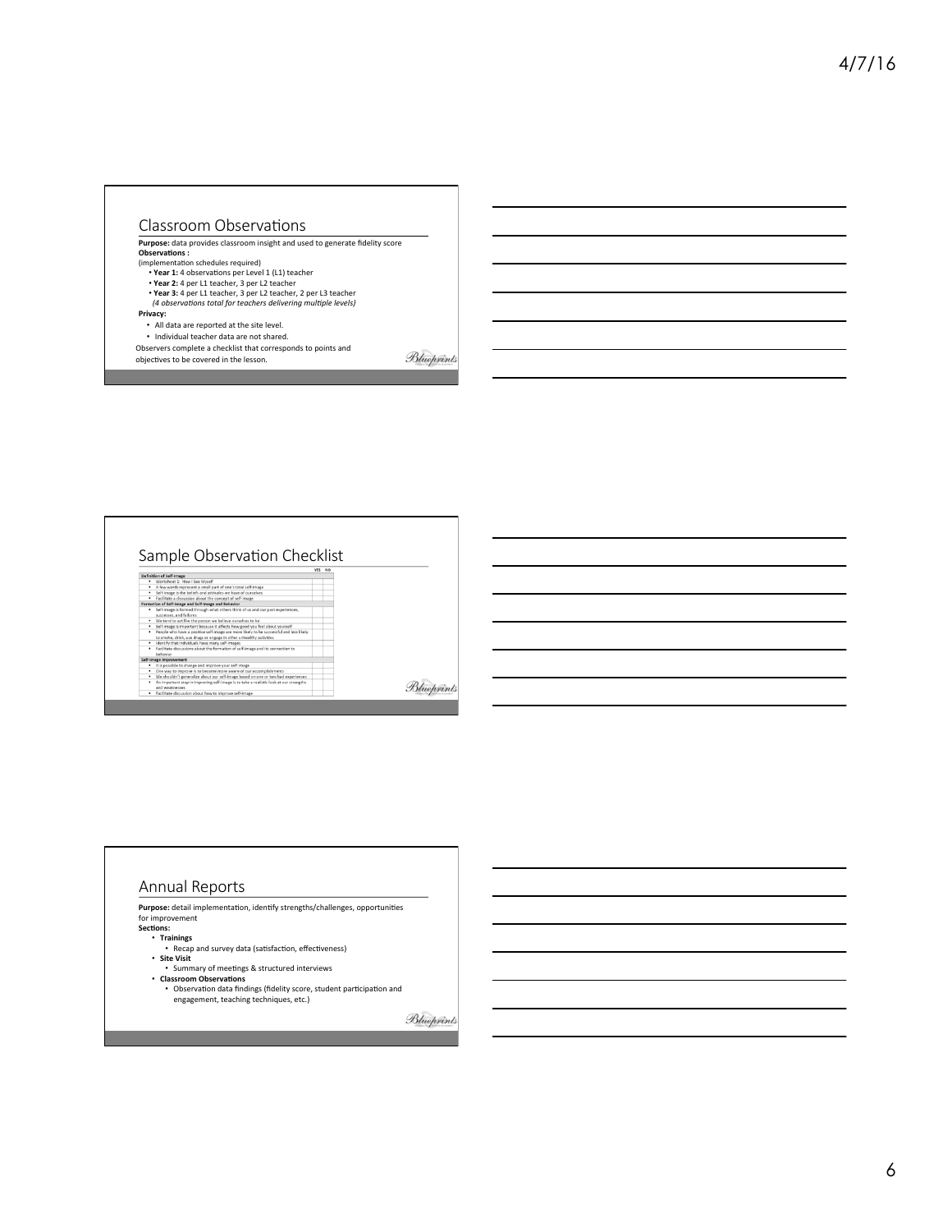#### Classroom Observations

**Purpose:** data provides classroom insight and used to generate fidelity score<br>Observations : (implementation schedules required)<br>• **Year 1:** 4 observations per Level 1 (L1) teacher<br>• **Year 2:** 4 per L1 teacher, 3 per L2 teacher • **Year 3:** 4 per L1 teacher, 3 per L2 teacher, 2 per L3 teacher *(4 observa+ons total for teachers delivering mul+ple levels)* **Privacy:** • All data are reported at the site level. • Individual teacher data are not shared. Observers complete a checklist that corresponds to points and Blueprints objectives to be covered in the lesson.

# Sample Observa.on Checklist Further decomposition about the formation of self-image and its connection to<br>behavior comparisons and the interval of the formation of the self-image<br> $\sigma$ . Cut associated the interval of the interval of the<br>self-imposed

Blueprints

## Annual Reports

**Purpose:** detail implementation, identify strengths/challenges, opportunities<br>for improvement Sections:

- **Trainings**<br>• Recap and survey data (satisfaction, effectiveness)
- **Site Visit**
- Summary of meetings & structured interviews
- **Classroom Observations**<br>• Observation data findings (fidelity score, student participation and<br>engagement, teaching techniques, etc.)